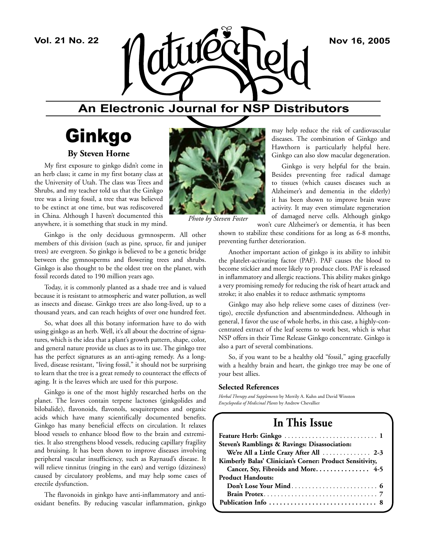

## **An Electronic Journal for NSP Distributors**

# Ginkgo **By Steven Horne**

My first exposure to ginkgo didn't come in an herb class; it came in my first botany class at the University of Utah. The class was Trees and Shrubs, and my teacher told us that the Ginkgo tree was a living fossil, a tree that was believed to be extinct at one time, but was rediscovered in China. Although I haven't documented this anywhere, it is something that stuck in my mind.

Ginkgo is the only deciduous gymnosperm. All other members of this division (such as pine, spruce, fir and juniper trees) are evergreen. So ginkgo is believed to be a genetic bridge between the gymnosperms and flowering trees and shrubs. Ginkgo is also thought to be the oldest tree on the planet, with fossil records dated to 190 million years ago.

Today, it is commonly planted as a shade tree and is valued because it is resistant to atmospheric and water pollution, as well as insects and disease. Ginkgo trees are also long-lived, up to a thousand years, and can reach heights of over one hundred feet.

So, what does all this botany information have to do with using ginkgo as an herb. Well, it's all about the doctrine of signatures, which is the idea that a plant's growth pattern, shape, color, and general nature provide us clues as to its use. The ginkgo tree has the perfect signatures as an anti-aging remedy. As a longlived, disease resistant, "living fossil," it should not be surprising to learn that the tree is a great remedy to counteract the effects of aging. It is the leaves which are used for this purpose.

Ginkgo is one of the most highly researched herbs on the planet. The leaves contain terpene lactones (ginkgolides and bilobalide), flavonoids, flavonols, sesquiterpenes and organic acids which have many scientifically documented benefits. Ginkgo has many beneficial effects on circulation. It relaxes blood vessels to enhance blood flow to the brain and extremities. It also strengthens blood vessels, reducing capillary fragility and bruising. It has been shown to improve diseases involving peripheral vascular insufficiency, such as Raynaud's disease. It will relieve tinnitus (ringing in the ears) and vertigo (dizziness) caused by circulatory problems, and may help some cases of erectile dysfunction.

The flavonoids in ginkgo have anti-inflammatory and antioxidant benefits. By reducing vascular inflammation, ginkgo



*Photo by Steven Foster*

may help reduce the risk of cardiovascular diseases. The combination of Ginkgo and Hawthorn is particularly helpful here. Ginkgo can also slow macular degeneration.

Ginkgo is very helpful for the brain. Besides preventing free radical damage to tissues (which causes diseases such as Alzheimer's and dementia in the elderly) it has been shown to improve brain wave activity. It may even stimulate regeneration of damaged nerve cells. Although ginkgo

won't cure Alzheimer's or dementia, it has been shown to stabilize these conditions for as long as 6-8 months, preventing further deterioration.

Another important action of ginkgo is its ability to inhibit the platelet-activating factor (PAF). PAF causes the blood to become stickier and more likely to produce clots. PAF is released in inflammatory and allergic reactions. This ability makes ginkgo a very promising remedy for reducing the risk of heart attack and stroke; it also enables it to reduce asthmatic symptoms

Ginkgo may also help relieve some cases of dizziness (vertigo), erectile dysfunction and absentmindedness. Although in general, I favor the use of whole herbs, in this case, a highly-concentrated extract of the leaf seems to work best, which is what NSP offers in their Time Release Ginkgo concentrate. Ginkgo is also a part of several combinations.

So, if you want to be a healthy old "fossil," aging gracefully with a healthy brain and heart, the ginkgo tree may be one of your best allies.

#### **Selected References**

*Herbal Therapy and Supplements* by Merrily A. Kuhn and David Winston *Encyclopedia of Medicinal Plants* by Andrew Chevallier

## **In This Issue**

| Steven's Ramblings & Ravings: Disassociation:            |
|----------------------------------------------------------|
| We're All a Little Crazy After All  2-3                  |
| Kimberly Balas' Clinician's Corner: Product Sensitivity, |
| Cancer, Sty, Fibroids and More 4-5                       |
| <b>Product Handouts:</b>                                 |
|                                                          |
|                                                          |
|                                                          |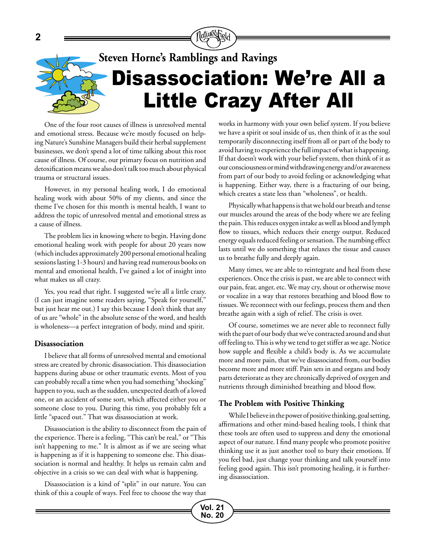

**Vol. 21 No. 20**

One of the four root causes of illness is unresolved mental and emotional stress. Because we're mostly focused on helping Nature's Sunshine Managers build their herbal supplement businesses, we don't spend a lot of time talking about this root cause of illness. Of course, our primary focus on nutrition and detoxification means we also don't talk too much about physical trauma or structural issues.

However, in my personal healing work, I do emotional healing work with about 50% of my clients, and since the theme I've chosen for this month is mental health, I want to address the topic of unresolved mental and emotional stress as a cause of illness.

The problem lies in knowing where to begin. Having done emotional healing work with people for about 20 years now (which includes approximately 200 personal emotional healing sessions lasting 1-3 hours) and having read numerous books on mental and emotional health, I've gained a lot of insight into what makes us all crazy.

Yes, you read that right. I suggested we're all a little crazy. (I can just imagine some readers saying, "Speak for yourself," but just hear me out.) I say this because I don't think that any of us are "whole" in the absolute sense of the word, and health is wholeness—a perfect integration of body, mind and spirit.

#### **Disassociation**

I believe that all forms of unresolved mental and emotional stress are created by chronic disassociation. This disassociation happens during abuse or other traumatic events. Most of you can probably recall a time when you had something "shocking" happen to you, such as the sudden, unexpected death of a loved one, or an accident of some sort, which affected either you or someone close to you. During this time, you probably felt a little "spaced out." That was disassociation at work.

Disassociation is the ability to disconnect from the pain of the experience. There is a feeling, "This can't be real," or "This isn't happening to me." It is almost as if we are seeing what is happening as if it is happening to someone else. This disassociation is normal and healthy. It helps us remain calm and objective in a crisis so we can deal with what is happening.

Disassociation is a kind of "split" in our nature. You can think of this a couple of ways. Feel free to choose the way that works in harmony with your own belief system. If you believe we have a spirit or soul inside of us, then think of it as the soul temporarily disconnecting itself from all or part of the body to avoid having to experience the full impact of what is happening. If that doesn't work with your belief system, then think of it as our consciousness or mind withdrawing energy and/or awareness from part of our body to avoid feeling or acknowledging what is happening. Either way, there is a fracturing of our being, which creates a state less than "wholeness", or health.

Physically what happens is that we hold our breath and tense our muscles around the areas of the body where we are feeling the pain. This reduces oxygen intake as well as blood and lymph flow to tissues, which reduces their energy output. Reduced energy equals reduced feeling or sensation. The numbing effect lasts until we do something that relaxes the tissue and causes us to breathe fully and deeply again.

Many times, we are able to reintegrate and heal from these experiences. Once the crisis is past, we are able to connect with our pain, fear, anger, etc. We may cry, shout or otherwise move or vocalize in a way that restores breathing and blood flow to tissues. We reconnect with our feelings, process them and then breathe again with a sigh of relief. The crisis is over.

Of course, sometimes we are never able to reconnect fully with the part of our body that we've contracted around and shut off feeling to. This is why we tend to get stiffer as we age. Notice how supple and flexible a child's body is. As we accumulate more and more pain, that we've disassociated from, our bodies become more and more stiff. Pain sets in and organs and body parts deteriorate as they are chronically deprived of oxygen and nutrients through diminished breathing and blood flow.

#### **The Problem with Positive Thinking**

While I believe in the power of positive thinking, goal setting, affirmations and other mind-based healing tools, I think that these tools are often used to suppress and deny the emotional aspect of our nature. I find many people who promote positive thinking use it as just another tool to bury their emotions. If you feel bad, just change your thinking and talk yourself into feeling good again. This isn't promoting healing, it is furthering disassociation.

**2**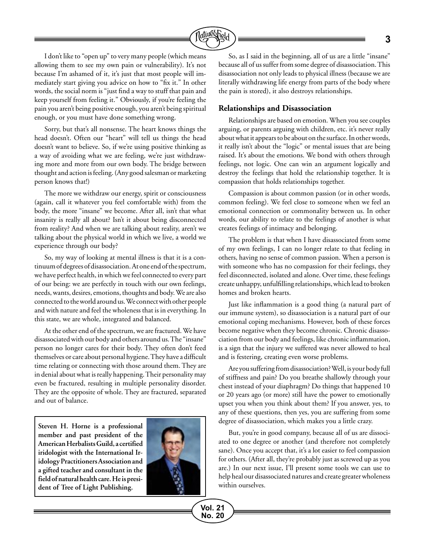

I don't like to "open up" to very many people (which means allowing them to see my own pain or vulnerability). It's not because I'm ashamed of it, it's just that most people will immediately start giving you advice on how to "fix it." In other words, the social norm is "just find a way to stuff that pain and keep yourself from feeling it." Obviously, if you're feeling the pain you aren't being positive enough, you aren't being spiritual enough, or you must have done something wrong.

Sorry, but that's all nonsense. The heart knows things the head doesn't. Often our "heart" will tell us things the head doesn't want to believe. So, if we're using positive thinking as a way of avoiding what we are feeling, we're just withdrawing more and more from our own body. The bridge between thought and action is feeling. (Any good salesman or marketing person knows that!)

The more we withdraw our energy, spirit or consciousness (again, call it whatever you feel comfortable with) from the body, the more "insane" we become. After all, isn't that what insanity is really all about? Isn't it about being disconnected from reality? And when we are talking about reality, aren't we talking about the physical world in which we live, a world we experience through our body?

So, my way of looking at mental illness is that it is a continuum of degrees of disassociation. At one end of the spectrum, we have perfect health, in which we feel connected to every part of our being: we are perfectly in touch with our own feelings, needs, wants, desires, emotions, thoughts and body. We are also connected to the world around us. We connect with other people and with nature and feel the wholeness that is in everything. In this state, we are whole, integrated and balanced.

At the other end of the spectrum, we are fractured. We have disassociated with our body and others around us. The "insane" person no longer cares for their body. They often don't feed themselves or care about personal hygiene. They have a difficult time relating or connecting with those around them. They are in denial about what is really happening. Their personality may even be fractured, resulting in multiple personality disorder. They are the opposite of whole. They are fractured, separated and out of balance.

**Steven H. Horne is a professional member and past president of the American Herbalists Guild, a certified iridologist with the International Iridology Practitioners Association and a gifted teacher and consultant in the field of natural health care. He is president of Tree of Light Publishing.** 



**Vol. 21 No. 20**

So, as I said in the beginning, all of us are a little "insane" because all of us suffer from some degree of disassociation. This disassociation not only leads to physical illness (because we are literally withdrawing life energy from parts of the body where the pain is stored), it also destroys relationships.

#### **Relationships and Disassociation**

Relationships are based on emotion. When you see couples arguing, or parents arguing with children, etc. it's never really about what it appears to be about on the surface. In other words, it really isn't about the "logic" or mental issues that are being raised. It's about the emotions. We bond with others through feelings, not logic. One can win an argument logically and destroy the feelings that hold the relationship together. It is compassion that holds relationships together.

Compassion is about common passion (or in other words, common feeling). We feel close to someone when we feel an emotional connection or commonality between us. In other words, our ability to relate to the feelings of another is what creates feelings of intimacy and belonging.

The problem is that when I have disassociated from some of my own feelings, I can no longer relate to that feeling in others, having no sense of common passion. When a person is with someone who has no compassion for their feelings, they feel disconnected, isolated and alone. Over time, these feelings create unhappy, unfulfilling relationships, which lead to broken homes and broken hearts.

Just like inflammation is a good thing (a natural part of our immune system), so disassociation is a natural part of our emotional coping mechanisms. However, both of these forces become negative when they become chronic. Chronic disassociation from our body and feelings, like chronic inflammation, is a sign that the injury we suffered was never allowed to heal and is festering, creating even worse problems.

Are you suffering from disassociation? Well, is your body full of stiffness and pain? Do you breathe shallowly through your chest instead of your diaphragm? Do things that happened 10 or 20 years ago (or more) still have the power to emotionally upset you when you think about them? If you answer, yes, to any of these questions, then yes, you are suffering from some degree of disassociation, which makes you a little crazy.

But, you're in good company, because all of us are dissociated to one degree or another (and therefore not completely sane). Once you accept that, it's a lot easier to feel compassion for others. (After all, they're probably just as screwed up as you are.) In our next issue, I'll present some tools we can use to help heal our disassociated natures and create greater wholeness within ourselves.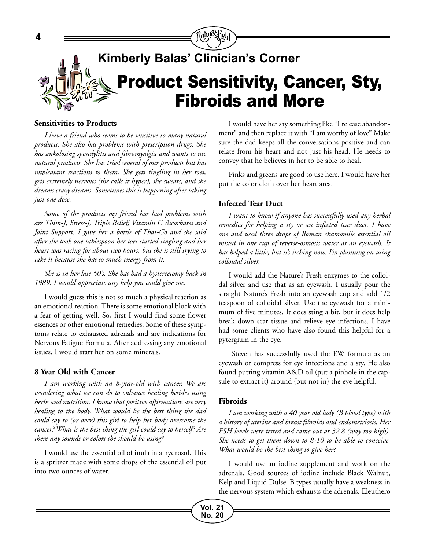

#### **Sensitivities to Products**

*I have a friend who seems to be sensitive to many natural products. She also has problems with prescription drugs. She has ankolosing spondylitis and fibromyalgia and wants to use natural products. She has tried several of our products but has unpleasant reactions to them. She gets tingling in her toes, gets extremely nervous (she calls it hyper), she sweats, and she dreams crazy dreams. Sometimes this is happening after taking just one dose.* 

*Some of the products my friend has had problems with are Thim-J, Stress-J, Triple Relief, Vitamin C Ascorbates and Joint Support. I gave her a bottle of Thai-Go and she said after she took one tablespoon her toes started tingling and her heart was racing for about two hours, but she is still trying to take it because she has so much energy from it.*

*She is in her late 50's. She has had a hysterectomy back in 1989. I would appreciate any help you could give me.*

I would guess this is not so much a physical reaction as an emotional reaction. There is some emotional block with a fear of getting well. So, first I would find some flower essences or other emotional remedies. Some of these symptoms relate to exhausted adrenals and are indications for Nervous Fatigue Formula. After addressing any emotional issues, I would start her on some minerals.

#### **8 Year Old with Cancer**

*I am working with an 8-year-old with cancer. We are wondering what we can do to enhance healing besides using herbs and nutrition. I know that positive affirmations are very healing to the body. What would be the best thing the dad could say to (or over) this girl to help her body overcome the cancer? What is the best thing the girl could say to herself? Are there any sounds or colors she should be using?*

I would use the essential oil of inula in a hydrosol. This is a spritzer made with some drops of the essential oil put into two ounces of water.

I would have her say something like "I release abandonment" and then replace it with "I am worthy of love" Make sure the dad keeps all the conversations positive and can relate from his heart and not just his head. He needs to convey that he believes in her to be able to heal.

Pinks and greens are good to use here. I would have her put the color cloth over her heart area.

#### **Infected Tear Duct**

*I want to know if anyone has successfully used any herbal remedies for helping a sty or an infected tear duct. I have one and used three drops of Roman chamomile essential oil mixed in one cup of reverse-osmosis water as an eyewash. It has helped a little, but it's itching now. I'm planning on using colloidal silver.*

I would add the Nature's Fresh enzymes to the colloidal silver and use that as an eyewash. I usually pour the straight Nature's Fresh into an eyewash cup and add 1/2 teaspoon of colloidal silver. Use the eyewash for a minimum of five minutes. It does sting a bit, but it does help break down scar tissue and relieve eye infections. I have had some clients who have also found this helpful for a pytergium in the eye.

 Steven has successfully used the EW formula as an eyewash or compress for eye infections and a sty. He also found putting vitamin A&D oil (put a pinhole in the capsule to extract it) around (but not in) the eye helpful.

#### **Fibroids**

*I am working with a 40 year old lady (B blood type) with a history of uterine and breast fibroids and endometriosis. Her FSH levels were tested and came out at 32.8 (way too high). She needs to get them down to 8-10 to be able to conceive. What would be the best thing to give her?*

I would use an iodine supplement and work on the adrenals. Good sources of iodine include Black Walnut, Kelp and Liquid Dulse. B types usually have a weakness in the nervous system which exhausts the adrenals. Eleuthero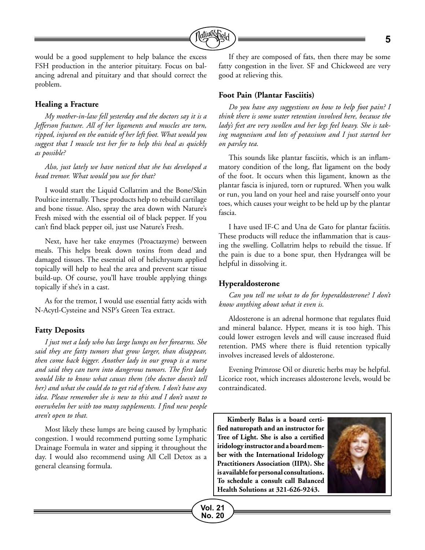

would be a good supplement to help balance the excess FSH production in the anterior pituitary. Focus on balancing adrenal and pituitary and that should correct the problem.

#### **Healing a Fracture**

*My mother-in-law fell yesterday and the doctors say it is a Jefferson fracture. All of her ligaments and muscles are torn, ripped, injured on the outside of her left foot. What would you suggest that I muscle test her for to help this heal as quickly as possible?*

*Also, just lately we have noticed that she has developed a head tremor. What would you use for that?* 

I would start the Liquid Collatrim and the Bone/Skin Poultice internally. These products help to rebuild cartilage and bone tissue. Also, spray the area down with Nature's Fresh mixed with the essential oil of black pepper. If you can't find black pepper oil, just use Nature's Fresh.

Next, have her take enzymes (Proactazyme) between meals. This helps break down toxins from dead and damaged tissues. The essential oil of helichrysum applied topically will help to heal the area and prevent scar tissue build-up. Of course, you'll have trouble applying things topically if she's in a cast.

As for the tremor, I would use essential fatty acids with N-Acytl-Cysteine and NSP's Green Tea extract.

#### **Fatty Deposits**

*I just met a lady who has large lumps on her forearms. She said they are fatty tumors that grow larger, than disappear, then come back bigger. Another lady in our group is a nurse and said they can turn into dangerous tumors. The first lady would like to know what causes them (the doctor doesn't tell her) and what she could do to get rid of them. I don't have any idea. Please remember she is new to this and I don't want to overwhelm her with too many supplements. I find new people aren't open to that.*

Most likely these lumps are being caused by lymphatic congestion. I would recommend putting some Lymphatic Drainage Formula in water and sipping it throughout the day. I would also recommend using All Cell Detox as a general cleansing formula.

If they are composed of fats, then there may be some fatty congestion in the liver. SF and Chickweed are very good at relieving this.

#### **Foot Pain (Plantar Fasciitis)**

*Do you have any suggestions on how to help foot pain? I think there is some water retention involved here, because the lady's feet are very swollen and her legs feel heavy. She is taking magnesium and lots of potassium and I just started her on parsley tea.* 

This sounds like plantar fasciitis, which is an inflammatory condition of the long, flat ligament on the body of the foot. It occurs when this ligament, known as the plantar fascia is injured, torn or ruptured. When you walk or run, you land on your heel and raise yourself onto your toes, which causes your weight to be held up by the plantar fascia.

I have used IF-C and Una de Gato for plantar faciitis. These products will reduce the inflammation that is causing the swelling. Collatrim helps to rebuild the tissue. If the pain is due to a bone spur, then Hydrangea will be helpful in dissolving it.

#### **Hyperaldosterone**

*Can you tell me what to do for hyperaldosterone? I don't know anything about what it even is.* 

Aldosterone is an adrenal hormone that regulates fluid and mineral balance. Hyper, means it is too high. This could lower estrogen levels and will cause increased fluid retention. PMS where there is fluid retention typically involves increased levels of aldosterone.

Evening Primrose Oil or diuretic herbs may be helpful. Licorice root, which increases aldosterone levels, would be contraindicated.

**Kimberly Balas is a board certified naturopath and an instructor for Tree of Light. She is also a certified iridology instructor and a board member with the International Iridology Practitioners Association (IIPA). She is available for personal consultations. To schedule a consult call Balanced Health Solutions at 321-626-9243.**

**Vol. 21 No. 20**

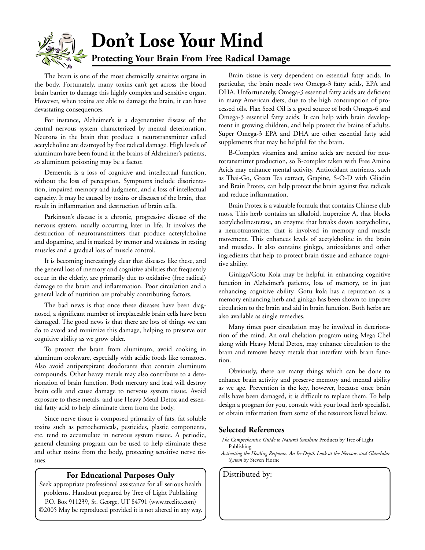

The brain is one of the most chemically sensitive organs in the body. Fortunately, many toxins can't get across the blood brain barrier to damage this highly complex and sensitive organ. However, when toxins are able to damage the brain, it can have devastating consequences.

For instance, Alzheimer's is a degenerative disease of the central nervous system characterized by mental deterioration. Neurons in the brain that produce a neurotransmitter called acetylcholine are destroyed by free radical damage. High levels of aluminum have been found in the brains of Alzheimer's patients, so aluminum poisoning may be a factor.

Dementia is a loss of cognitive and intellectual function, without the loss of perception. Symptoms include disorientation, impaired memory and judgment, and a loss of intellectual capacity. It may be caused by toxins or diseases of the brain, that result in inflammation and destruction of brain cells.

Parkinson's disease is a chronic, progressive disease of the nervous system, usually occurring later in life. It involves the destruction of neurotransmitters that produce actetylcholine and dopamine, and is marked by tremor and weakness in resting muscles and a gradual loss of muscle control.

It is becoming increasingly clear that diseases like these, and the general loss of memory and cognitive abilities that frequently occur in the elderly, are primarily due to oxidative (free radical) damage to the brain and inflammation. Poor circulation and a general lack of nutrition are probably contributing factors.

The bad news is that once these diseases have been diagnosed, a significant number of irreplaceable brain cells have been damaged. The good news is that there are lots of things we can do to avoid and minimize this damage, helping to preserve our cognitive ability as we grow older.

To protect the brain from aluminum, avoid cooking in aluminum cookware, especially with acidic foods like tomatoes. Also avoid antiperspirant deodorants that contain aluminum compounds. Other heavy metals may also contribute to a deterioration of brain function. Both mercury and lead will destroy brain cells and cause damage to nervous system tissue. Avoid exposure to these metals, and use Heavy Metal Detox and essential fatty acid to help eliminate them from the body.

Since nerve tissue is composed primarily of fats, fat soluble toxins such as petrochemicals, pesticides, plastic components, etc. tend to accumulate in nervous system tissue. A periodic, general cleansing program can be used to help eliminate these and other toxins from the body, protecting sensitive nerve tissues.

#### **For Educational Purposes Only** | Distributed by:

Seek appropriate professional assistance for all serious health problems. Handout prepared by Tree of Light Publishing P.O. Box 911239, St. George, UT 84791 (www.treelite.com) ©2005 May be reproduced provided it is not altered in any way.

Brain tissue is very dependent on essential fatty acids. In particular, the brain needs two Omega-3 fatty acids, EPA and DHA. Unfortunately, Omega-3 essential fatty acids are deficient in many American diets, due to the high consumption of processed oils. Flax Seed Oil is a good source of both Omega-6 and Omega-3 essential fatty acids. It can help with brain development in growing children, and help protect the brains of adults. Super Omega-3 EPA and DHA are other essential fatty acid supplements that may be helpful for the brain.

B-Complex vitamins and amino acids are needed for neurotransmitter production, so B-complex taken with Free Amino Acids may enhance mental activity. Antioxidant nutrients, such as Thai-Go, Green Tea extract, Grapine, S-O-D with Gliadin and Brain Protex, can help protect the brain against free radicals and reduce inflammation.

Brain Protex is a valuable formula that contains Chinese club moss. This herb contains an alkaloid, huperzine A, that blocks acetylcholinesterase, an enzyme that breaks down acetycholine, a neurotransmitter that is involved in memory and muscle movement. This enhances levels of acetylcholine in the brain and muscles. It also contains ginkgo, antioxidants and other ingredients that help to protect brain tissue and enhance cognitive ability.

Ginkgo/Gotu Kola may be helpful in enhancing cognitive function in Alzheimer's patients, loss of memory, or in just enhancing cognitive ability. Gotu kola has a reputation as a memory enhancing herb and ginkgo has been shown to improve circulation to the brain and aid in brain function. Both herbs are also available as single remedies.

Many times poor circulation may be involved in deterioration of the mind. An oral chelation program using Mega Chel along with Heavy Metal Detox, may enhance circulation to the brain and remove heavy metals that interfere with brain function.

Obviously, there are many things which can be done to enhance brain activity and preserve memory and mental ability as we age. Prevention is the key, however, because once brain cells have been damaged, it is difficult to replace them. To help design a program for you, consult with your local herb specialist, or obtain information from some of the resources listed below.

#### **Selected References**

- *The Comprehensive Guide to Nature's Sunshine* Products by Tree of Light Publishing
- *Activating the Healing Response: An In-Depth Look at the Nervous and Glandular System* by Steven Horne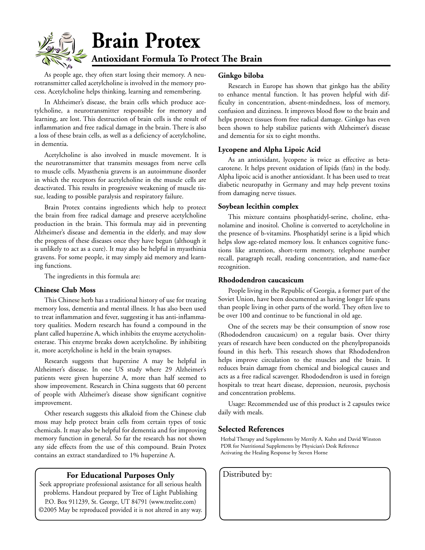

As people age, they often start losing their memory. A neurotransmitter called acetylcholine is involved in the memory process. Acetylcholine helps thinking, learning and remembering.

In Alzheimer's disease, the brain cells which produce acetylcholine, a neurotransmitter responsible for memory and learning, are lost. This destruction of brain cells is the result of inflammation and free radical damage in the brain. There is also a loss of these brain cells, as well as a deficiency of acetylcholine, in dementia.

Acetylcholine is also involved in muscle movement. It is the neurotransmitter that transmits messages from nerve cells to muscle cells. Myasthenia gravens is an autoimmune disorder in which the receptors for acetylcholine in the muscle cells are deactivated. This results in progressive weakening of muscle tissue, leading to possible paralysis and respiratory failure.

Brain Protex contains ingredients which help to protect the brain from free radical damage and preserve acetylcholine production in the brain. This formula may aid in preventing Alzheimer's disease and dementia in the elderly, and may slow the progress of these diseases once they have begun (although it is unlikely to act as a cure). It may also be helpful in myasthinia gravens. For some people, it may simply aid memory and learning functions.

The ingredients in this formula are:

#### **Chinese Club Moss**

This Chinese herb has a traditional history of use for treating memory loss, dementia and mental illness. It has also been used to treat inflammation and fever, suggesting it has anti-inflammatory qualities. Modern research has found a compound in the plant called huperzine A, which inhibits the enzyme acetycholinesterase. This enzyme breaks down acetylcholine. By inhibiting it, more acetylcholine is held in the brain synapses.

Research suggests that huperzine A may be helpful in Alzheimer's disease. In one US study where 29 Alzheimer's patients were given huperzine A, more than half seemed to show improvement. Research in China suggests that 60 percent of people with Alzheimer's disease show significant cognitive improvement.

Other research suggests this alkaloid from the Chinese club moss may help protect brain cells from certain types of toxic chemicals. It may also be helpful for dementia and for improving memory function in general. So far the research has not shown any side effects from the use of this compound. Brain Protex contains an extract standardized to 1% huperzine A.

#### **For Educational Purposes Only** | Distributed by:

Seek appropriate professional assistance for all serious health problems. Handout prepared by Tree of Light Publishing P.O. Box 911239, St. George, UT 84791 (www.treelite.com) ©2005 May be reproduced provided it is not altered in any way.

#### **Ginkgo biloba**

Research in Europe has shown that ginkgo has the ability to enhance mental function. It has proven helpful with difficulty in concentration, absent-mindedness, loss of memory, confusion and dizziness. It improves blood flow to the brain and helps protect tissues from free radical damage. Ginkgo has even been shown to help stabilize patients with Alzheimer's disease and dementia for six to eight months.

#### **Lycopene and Alpha Lipoic Acid**

As an antioxidant, lycopene is twice as effective as betacarotene. It helps prevent oxidation of lipids (fats) in the body. Alpha lipoic acid is another antioxidant. It has been used to treat diabetic neuropathy in Germany and may help prevent toxins from damaging nerve tissues.

#### **Soybean lecithin complex**

This mixture contains phosphatidyl-serine, choline, ethanolamine and inositol. Choline is converted to acetylcholine in the presence of b-vitamins. Phosphatidyl serine is a lipid which helps slow age-related memory loss. It enhances cognitive functions like attention, short-term memory, telephone number recall, paragraph recall, reading concentration, and name-face recognition.

#### **Rhododendron caucasicum**

People living in the Republic of Georgia, a former part of the Soviet Union, have been documented as having longer life spans than people living in other parts of the world. They often live to be over 100 and continue to be functional in old age.

One of the secrets may be their consumption of snow rose (Rhododendron caucasicum) on a regular basis. Over thirty years of research have been conducted on the phenylpropanoids found in this herb. This research shows that Rhododendron helps improve circulation to the muscles and the brain. It reduces brain damage from chemical and biological causes and acts as a free radical scavenger. Rhododendron is used in foreign hospitals to treat heart disease, depression, neurosis, psychosis and concentration problems.

Usage: Recommended use of this product is 2 capsules twice daily with meals.

#### **Selected References**

Herbal Therapy and Supplements by Merrily A. Kuhn and David Winston PDR for Nutritional Supplements by Physician's Desk Reference Activating the Healing Response by Steven Horne